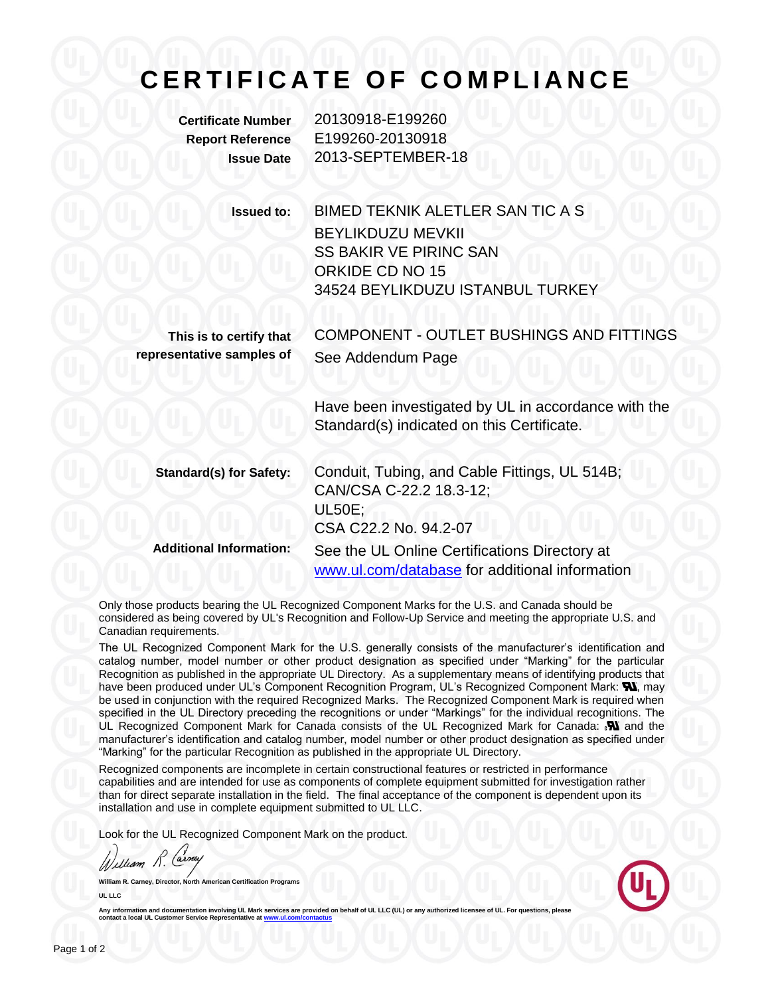## **C E R T I F I C A T E O F C O M P L I A N C E**

**Certificate Number** 20130918-E199260 **Report Reference** E199260-20130918 **Issue Date** 2013-SEPTEMBER-18

**Issued to:** BIMED TEKNIK ALETLER SAN TIC A S BEYLIKDUZU MEVKII SS BAKIR VE PIRINC SAN ORKIDE CD NO 15 34524 BEYLIKDUZU ISTANBUL TURKEY **This is to certify that representative samples of** COMPONENT - OUTLET BUSHINGS AND FITTINGS See Addendum Page Have been investigated by UL in accordance with the Standard(s) indicated on this Certificate. **Standard(s) for Safety:** Conduit, Tubing, and Cable Fittings, UL 514B; CAN/CSA C-22.2 18.3-12; UL50E; CSA C22.2 No. 94.2-07 **Additional Information:** See the UL Online Certifications Directory at [www.ul.com/database](http://www.ul.com/database) for additional information

Only those products bearing the UL Recognized Component Marks for the U.S. and Canada should be considered as being covered by UL's Recognition and Follow-Up Service and meeting the appropriate U.S. and Canadian requirements.

The UL Recognized Component Mark for the U.S. generally consists of the manufacturer's identification and catalog number, model number or other product designation as specified under "Marking" for the particular Recognition as published in the appropriate UL Directory. As a supplementary means of identifying products that have been produced under UL's Component Recognition Program, UL's Recognized Component Mark: **W**, may be used in conjunction with the required Recognized Marks. The Recognized Component Mark is required when specified in the UL Directory preceding the recognitions or under "Markings" for the individual recognitions. The UL Recognized Component Mark for Canada consists of the UL Recognized Mark for Canada:  $\mathbf{N}$  and the manufacturer's identification and catalog number, model number or other product designation as specified under "Marking" for the particular Recognition as published in the appropriate UL Directory.

Recognized components are incomplete in certain constructional features or restricted in performance capabilities and are intended for use as components of complete equipment submitted for investigation rather than for direct separate installation in the field. The final acceptance of the component is dependent upon its installation and use in complete equipment submitted to UL LLC.

Look for the UL Recognized Component Mark on the product.

William R.

**William R. Carney, Director, North American Certification Programs UL LLC**



**Any information and documentation involving UL Mark services are provided on behalf of UL LLC (UL) or any authorized licensee of UL. For questions, please contact a local UL Customer Service Representative a[t www.ul.com/contactus](../www.ul.com/contactus)**